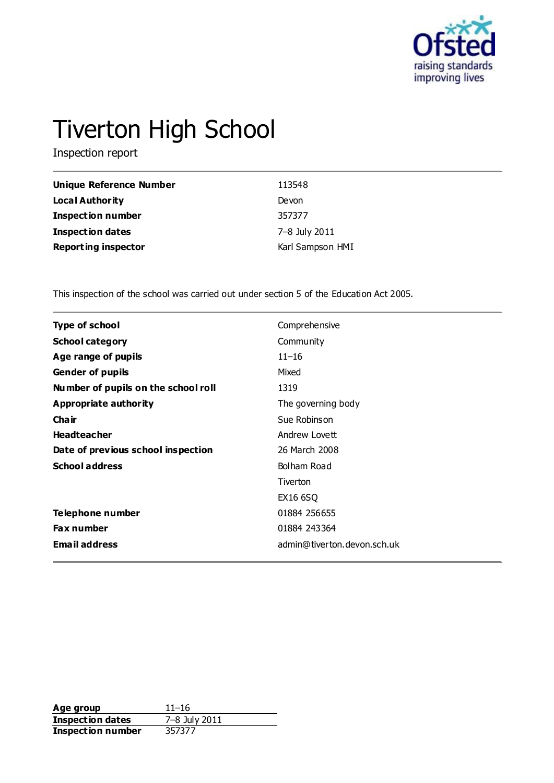

# Tiverton High School

Inspection report

| <b>Unique Reference Number</b> | 113548           |
|--------------------------------|------------------|
| <b>Local Authority</b>         | Devon            |
| <b>Inspection number</b>       | 357377           |
| <b>Inspection dates</b>        | 7-8 July 2011    |
| <b>Reporting inspector</b>     | Karl Sampson HMI |

This inspection of the school was carried out under section 5 of the Education Act 2005.

| <b>Type of school</b>               | Comprehensive               |
|-------------------------------------|-----------------------------|
| <b>School category</b>              | Community                   |
| Age range of pupils                 | $11 - 16$                   |
| <b>Gender of pupils</b>             | Mixed                       |
| Number of pupils on the school roll | 1319                        |
| Appropriate authority               | The governing body          |
| Cha ir                              | Sue Robinson                |
| <b>Headteacher</b>                  | Andrew Lovett               |
| Date of previous school inspection  | 26 March 2008               |
| <b>School address</b>               | Bolham Road                 |
|                                     | Tiverton                    |
|                                     | EX16 6SQ                    |
| Telephone number                    | 01884 256655                |
| <b>Fax number</b>                   | 01884 243364                |
| <b>Email address</b>                | admin@tiverton.devon.sch.uk |

**Age group** 11–16<br> **Inspection dates** 7–8 July 2011 **Inspection dates** 7–8 July 2011 **Inspection number** 357377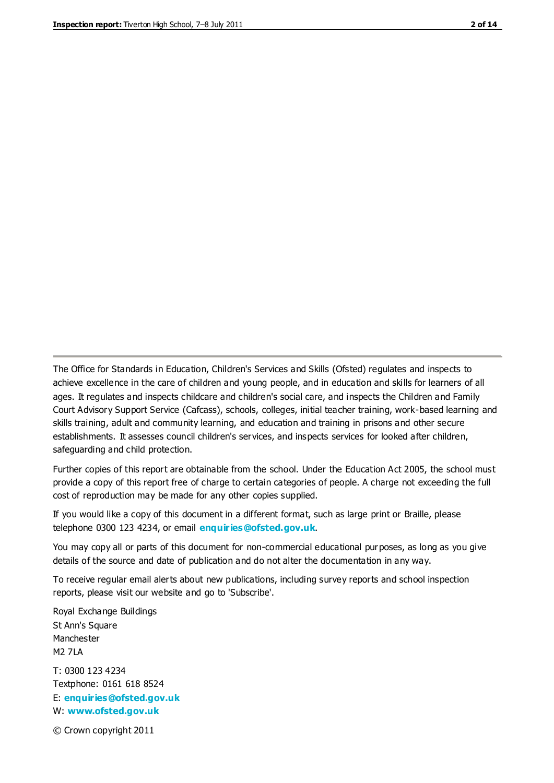The Office for Standards in Education, Children's Services and Skills (Ofsted) regulates and inspects to achieve excellence in the care of children and young people, and in education and skills for learners of all ages. It regulates and inspects childcare and children's social care, and inspects the Children and Family Court Advisory Support Service (Cafcass), schools, colleges, initial teacher training, work-based learning and skills training, adult and community learning, and education and training in prisons and other secure establishments. It assesses council children's services, and inspects services for looked after children, safeguarding and child protection.

Further copies of this report are obtainable from the school. Under the Education Act 2005, the school must provide a copy of this report free of charge to certain categories of people. A charge not exceeding the full cost of reproduction may be made for any other copies supplied.

If you would like a copy of this document in a different format, such as large print or Braille, please telephone 0300 123 4234, or email **[enquiries@ofsted.gov.uk](mailto:enquiries@ofsted.gov.uk)**.

You may copy all or parts of this document for non-commercial educational purposes, as long as you give details of the source and date of publication and do not alter the documentation in any way.

To receive regular email alerts about new publications, including survey reports and school inspection reports, please visit our website and go to 'Subscribe'.

Royal Exchange Buildings St Ann's Square Manchester M2 7LA T: 0300 123 4234 Textphone: 0161 618 8524 E: **[enquiries@ofsted.gov.uk](mailto:enquiries@ofsted.gov.uk)**

W: **[www.ofsted.gov.uk](http://www.ofsted.gov.uk/)**

© Crown copyright 2011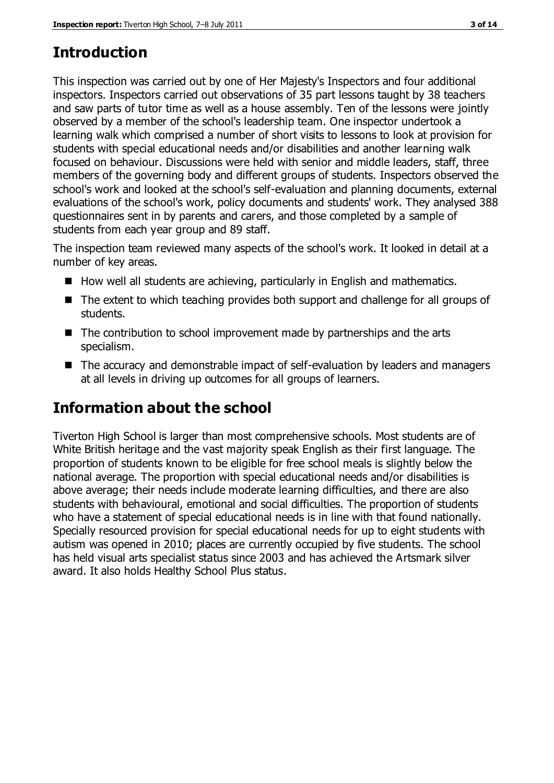# **Introduction**

This inspection was carried out by one of Her Majesty's Inspectors and four additional inspectors. Inspectors carried out observations of 35 part lessons taught by 38 teachers and saw parts of tutor time as well as a house assembly. Ten of the lessons were jointly observed by a member of the school's leadership team. One inspector undertook a learning walk which comprised a number of short visits to lessons to look at provision for students with special educational needs and/or disabilities and another learning walk focused on behaviour. Discussions were held with senior and middle leaders, staff, three members of the governing body and different groups of students. Inspectors observed the school's work and looked at the school's self-evaluation and planning documents, external evaluations of the school's work, policy documents and students' work. They analysed 388 questionnaires sent in by parents and carers, and those completed by a sample of students from each year group and 89 staff.

The inspection team reviewed many aspects of the school's work. It looked in detail at a number of key areas.

- $\blacksquare$  How well all students are achieving, particularly in English and mathematics.
- The extent to which teaching provides both support and challenge for all groups of students.
- The contribution to school improvement made by partnerships and the arts specialism.
- The accuracy and demonstrable impact of self-evaluation by leaders and managers at all levels in driving up outcomes for all groups of learners.

# **Information about the school**

Tiverton High School is larger than most comprehensive schools. Most students are of White British heritage and the vast majority speak English as their first language. The proportion of students known to be eligible for free school meals is slightly below the national average. The proportion with special educational needs and/or disabilities is above average; their needs include moderate learning difficulties, and there are also students with behavioural, emotional and social difficulties. The proportion of students who have a statement of special educational needs is in line with that found nationally. Specially resourced provision for special educational needs for up to eight students with autism was opened in 2010; places are currently occupied by five students. The school has held visual arts specialist status since 2003 and has achieved the Artsmark silver award. It also holds Healthy School Plus status.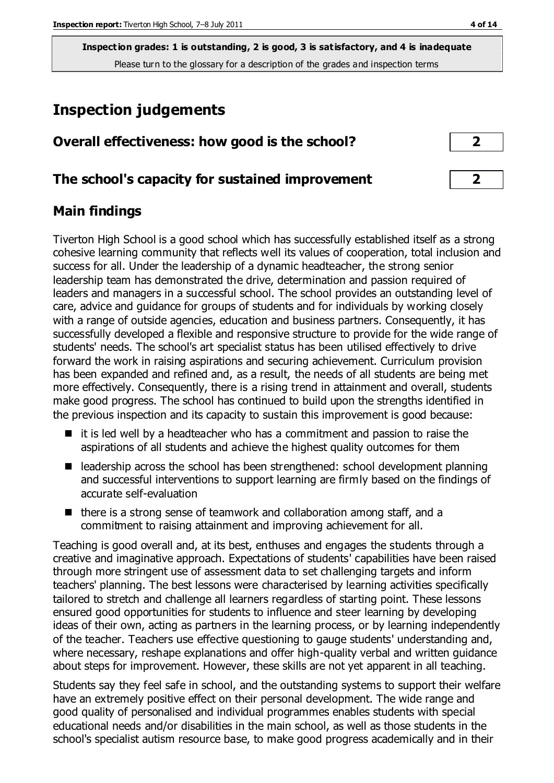# **Inspection judgements**

| Overall effectiveness: how good is the school?  |  |
|-------------------------------------------------|--|
| The school's capacity for sustained improvement |  |

## **Main findings**

Tiverton High School is a good school which has successfully established itself as a strong cohesive learning community that reflects well its values of cooperation, total inclusion and success for all. Under the leadership of a dynamic headteacher, the strong senior leadership team has demonstrated the drive, determination and passion required of leaders and managers in a successful school. The school provides an outstanding level of care, advice and guidance for groups of students and for individuals by working closely with a range of outside agencies, education and business partners. Consequently, it has successfully developed a flexible and responsive structure to provide for the wide range of students' needs. The school's art specialist status has been utilised effectively to drive forward the work in raising aspirations and securing achievement. Curriculum provision has been expanded and refined and, as a result, the needs of all students are being met more effectively. Consequently, there is a rising trend in attainment and overall, students make good progress. The school has continued to build upon the strengths identified in the previous inspection and its capacity to sustain this improvement is good because:

- $\blacksquare$  it is led well by a headteacher who has a commitment and passion to raise the aspirations of all students and achieve the highest quality outcomes for them
- $\blacksquare$  leadership across the school has been strengthened: school development planning and successful interventions to support learning are firmly based on the findings of accurate self-evaluation
- $\blacksquare$  there is a strong sense of teamwork and collaboration among staff, and a commitment to raising attainment and improving achievement for all.

Teaching is good overall and, at its best, enthuses and engages the students through a creative and imaginative approach. Expectations of students' capabilities have been raised through more stringent use of assessment data to set challenging targets and inform teachers' planning. The best lessons were characterised by learning activities specifically tailored to stretch and challenge all learners regardless of starting point. These lessons ensured good opportunities for students to influence and steer learning by developing ideas of their own, acting as partners in the learning process, or by learning independently of the teacher. Teachers use effective questioning to gauge students' understanding and, where necessary, reshape explanations and offer high-quality verbal and written guidance about steps for improvement. However, these skills are not yet apparent in all teaching.

Students say they feel safe in school, and the outstanding systems to support their welfare have an extremely positive effect on their personal development. The wide range and good quality of personalised and individual programmes enables students with special educational needs and/or disabilities in the main school, as well as those students in the school's specialist autism resource base, to make good progress academically and in their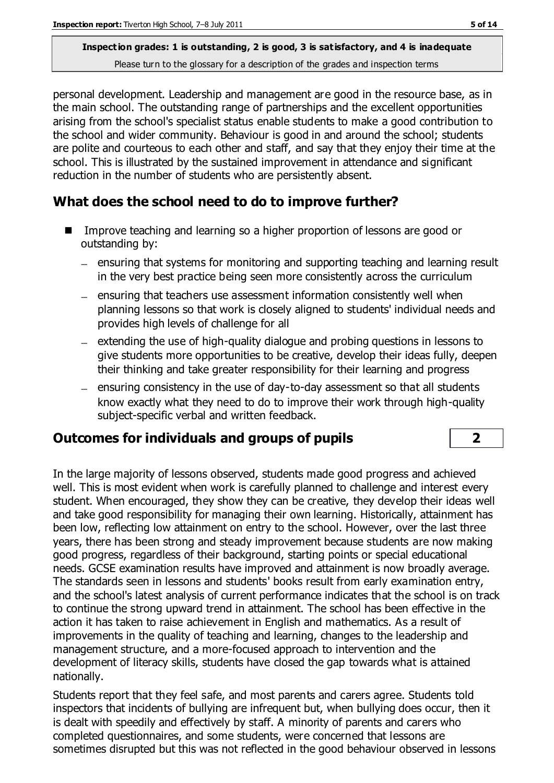personal development. Leadership and management are good in the resource base, as in the main school. The outstanding range of partnerships and the excellent opportunities arising from the school's specialist status enable students to make a good contribution to the school and wider community. Behaviour is good in and around the school; students are polite and courteous to each other and staff, and say that they enjoy their time at the school. This is illustrated by the sustained improvement in attendance and significant reduction in the number of students who are persistently absent.

## **What does the school need to do to improve further?**

- Improve teaching and learning so a higher proportion of lessons are good or outstanding by:
	- ensuring that systems for monitoring and supporting teaching and learning result in the very best practice being seen more consistently across the curriculum
	- $-$  ensuring that teachers use assessment information consistently well when planning lessons so that work is closely aligned to students' individual needs and provides high levels of challenge for all
	- $-$  extending the use of high-quality dialogue and probing questions in lessons to give students more opportunities to be creative, develop their ideas fully, deepen their thinking and take greater responsibility for their learning and progress
	- $-$  ensuring consistency in the use of day-to-day assessment so that all students know exactly what they need to do to improve their work through high-quality subject-specific verbal and written feedback.

## **Outcomes for individuals and groups of pupils 2**

In the large majority of lessons observed, students made good progress and achieved well. This is most evident when work is carefully planned to challenge and interest every student. When encouraged, they show they can be creative, they develop their ideas well and take good responsibility for managing their own learning. Historically, attainment has been low, reflecting low attainment on entry to the school. However, over the last three years, there has been strong and steady improvement because students are now making good progress, regardless of their background, starting points or special educational needs. GCSE examination results have improved and attainment is now broadly average. The standards seen in lessons and students' books result from early examination entry, and the school's latest analysis of current performance indicates that the school is on track to continue the strong upward trend in attainment. The school has been effective in the action it has taken to raise achievement in English and mathematics. As a result of improvements in the quality of teaching and learning, changes to the leadership and management structure, and a more-focused approach to intervention and the development of literacy skills, students have closed the gap towards what is attained nationally.

Students report that they feel safe, and most parents and carers agree. Students told inspectors that incidents of bullying are infrequent but, when bullying does occur, then it is dealt with speedily and effectively by staff. A minority of parents and carers who completed questionnaires, and some students, were concerned that lessons are sometimes disrupted but this was not reflected in the good behaviour observed in lessons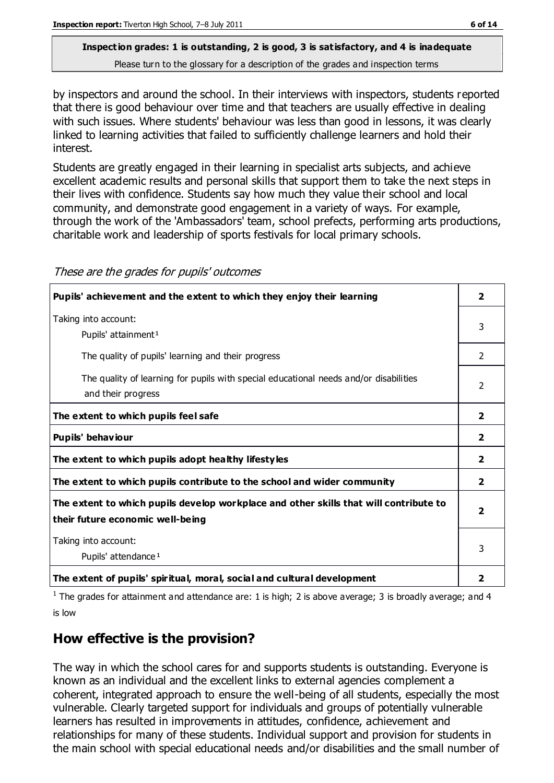by inspectors and around the school. In their interviews with inspectors, students reported that there is good behaviour over time and that teachers are usually effective in dealing with such issues. Where students' behaviour was less than good in lessons, it was clearly linked to learning activities that failed to sufficiently challenge learners and hold their interest.

Students are greatly engaged in their learning in specialist arts subjects, and achieve excellent academic results and personal skills that support them to take the next steps in their lives with confidence. Students say how much they value their school and local community, and demonstrate good engagement in a variety of ways. For example, through the work of the 'Ambassadors' team, school prefects, performing arts productions, charitable work and leadership of sports festivals for local primary schools.

| Pupils' achievement and the extent to which they enjoy their learning                                                     | $\overline{2}$          |
|---------------------------------------------------------------------------------------------------------------------------|-------------------------|
| Taking into account:<br>Pupils' attainment <sup>1</sup>                                                                   | 3                       |
| The quality of pupils' learning and their progress                                                                        | $\mathcal{P}$           |
| The quality of learning for pupils with special educational needs and/or disabilities<br>and their progress               | $\mathfrak{p}$          |
| The extent to which pupils feel safe                                                                                      | $\overline{2}$          |
| Pupils' behaviour                                                                                                         | $\overline{2}$          |
| The extent to which pupils adopt healthy lifestyles                                                                       | $\overline{2}$          |
| The extent to which pupils contribute to the school and wider community                                                   | $\overline{2}$          |
| The extent to which pupils develop workplace and other skills that will contribute to<br>their future economic well-being | $\overline{\mathbf{2}}$ |
| Taking into account:<br>Pupils' attendance <sup>1</sup>                                                                   | 3                       |
| The extent of pupils' spiritual, moral, social and cultural development                                                   | 2                       |

These are the grades for pupils' outcomes

<sup>1</sup> The grades for attainment and attendance are: 1 is high; 2 is above average; 3 is broadly average; and 4 is low

## **How effective is the provision?**

The way in which the school cares for and supports students is outstanding. Everyone is known as an individual and the excellent links to external agencies complement a coherent, integrated approach to ensure the well-being of all students, especially the most vulnerable. Clearly targeted support for individuals and groups of potentially vulnerable learners has resulted in improvements in attitudes, confidence, achievement and relationships for many of these students. Individual support and provision for students in the main school with special educational needs and/or disabilities and the small number of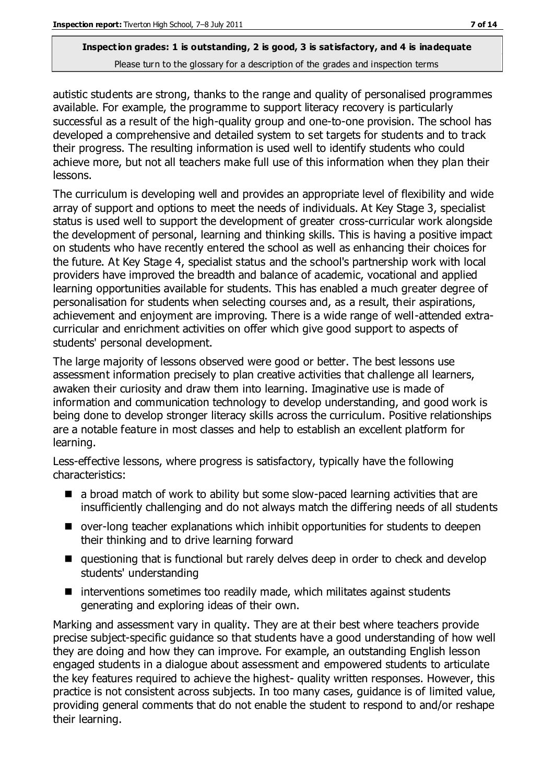autistic students are strong, thanks to the range and quality of personalised programmes available. For example, the programme to support literacy recovery is particularly successful as a result of the high-quality group and one-to-one provision. The school has developed a comprehensive and detailed system to set targets for students and to track their progress. The resulting information is used well to identify students who could achieve more, but not all teachers make full use of this information when they plan their lessons.

The curriculum is developing well and provides an appropriate level of flexibility and wide array of support and options to meet the needs of individuals. At Key Stage 3, specialist status is used well to support the development of greater cross-curricular work alongside the development of personal, learning and thinking skills. This is having a positive impact on students who have recently entered the school as well as enhancing their choices for the future. At Key Stage 4, specialist status and the school's partnership work with local providers have improved the breadth and balance of academic, vocational and applied learning opportunities available for students. This has enabled a much greater degree of personalisation for students when selecting courses and, as a result, their aspirations, achievement and enjoyment are improving. There is a wide range of well-attended extracurricular and enrichment activities on offer which give good support to aspects of students' personal development.

The large majority of lessons observed were good or better. The best lessons use assessment information precisely to plan creative activities that challenge all learners, awaken their curiosity and draw them into learning. Imaginative use is made of information and communication technology to develop understanding, and good work is being done to develop stronger literacy skills across the curriculum. Positive relationships are a notable feature in most classes and help to establish an excellent platform for learning.

Less-effective lessons, where progress is satisfactory, typically have the following characteristics:

- a broad match of work to ability but some slow-paced learning activities that are insufficiently challenging and do not always match the differing needs of all students
- over-long teacher explanations which inhibit opportunities for students to deepen their thinking and to drive learning forward
- questioning that is functional but rarely delves deep in order to check and develop students' understanding
- $\blacksquare$  interventions sometimes too readily made, which militates against students generating and exploring ideas of their own.

Marking and assessment vary in quality. They are at their best where teachers provide precise subject-specific guidance so that students have a good understanding of how well they are doing and how they can improve. For example, an outstanding English lesson engaged students in a dialogue about assessment and empowered students to articulate the key features required to achieve the highest- quality written responses. However, this practice is not consistent across subjects. In too many cases, guidance is of limited value, providing general comments that do not enable the student to respond to and/or reshape their learning.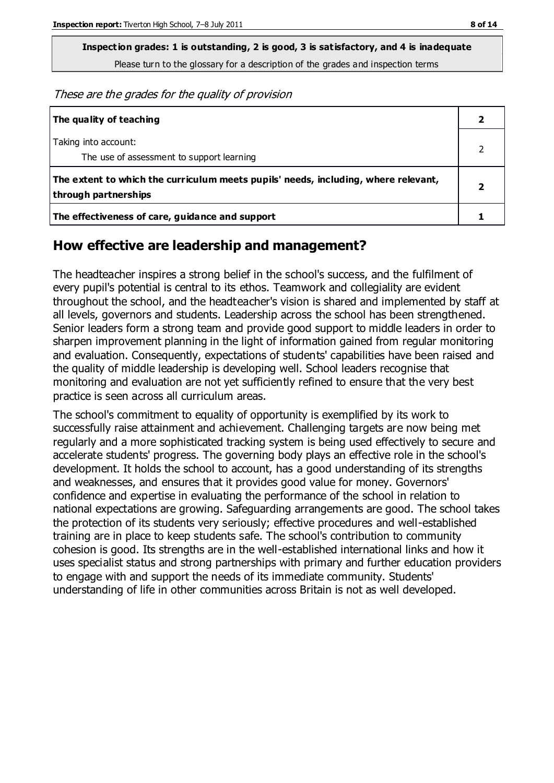**Inspection grades: 1 is outstanding, 2 is good, 3 is satisfactory, and 4 is inadequate**

Please turn to the glossary for a description of the grades and inspection terms

These are the grades for the quality of provision

| The quality of teaching                                                                                    |  |
|------------------------------------------------------------------------------------------------------------|--|
| Taking into account:<br>The use of assessment to support learning                                          |  |
| The extent to which the curriculum meets pupils' needs, including, where relevant,<br>through partnerships |  |
| The effectiveness of care, guidance and support                                                            |  |

#### **How effective are leadership and management?**

The headteacher inspires a strong belief in the school's success, and the fulfilment of every pupil's potential is central to its ethos. Teamwork and collegiality are evident throughout the school, and the headteacher's vision is shared and implemented by staff at all levels, governors and students. Leadership across the school has been strengthened. Senior leaders form a strong team and provide good support to middle leaders in order to sharpen improvement planning in the light of information gained from regular monitoring and evaluation. Consequently, expectations of students' capabilities have been raised and the quality of middle leadership is developing well. School leaders recognise that monitoring and evaluation are not yet sufficiently refined to ensure that the very best practice is seen across all curriculum areas.

The school's commitment to equality of opportunity is exemplified by its work to successfully raise attainment and achievement. Challenging targets are now being met regularly and a more sophisticated tracking system is being used effectively to secure and accelerate students' progress. The governing body plays an effective role in the school's development. It holds the school to account, has a good understanding of its strengths and weaknesses, and ensures that it provides good value for money. Governors' confidence and expertise in evaluating the performance of the school in relation to national expectations are growing. Safeguarding arrangements are good. The school takes the protection of its students very seriously; effective procedures and well-established training are in place to keep students safe. The school's contribution to community cohesion is good. Its strengths are in the well-established international links and how it uses specialist status and strong partnerships with primary and further education providers to engage with and support the needs of its immediate community. Students' understanding of life in other communities across Britain is not as well developed.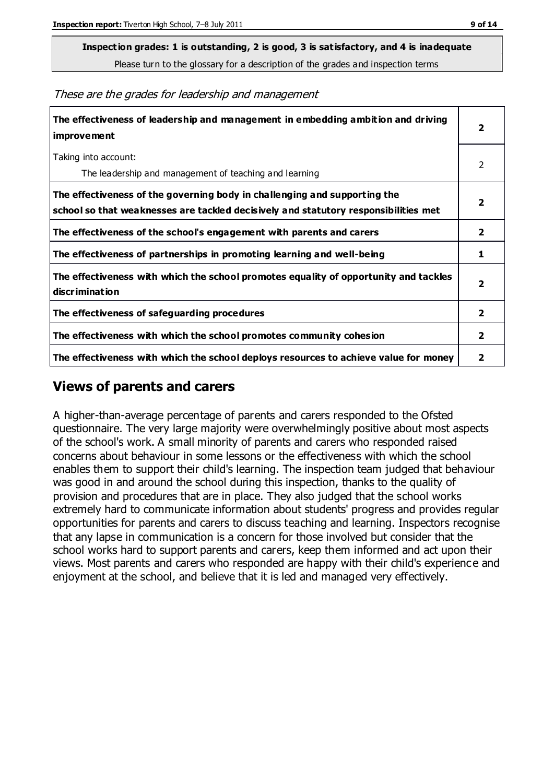**Inspection grades: 1 is outstanding, 2 is good, 3 is satisfactory, and 4 is inadequate**

Please turn to the glossary for a description of the grades and inspection terms

These are the grades for leadership and management

| The effectiveness of leadership and management in embedding ambition and driving<br>improvement                                                                  |                         |
|------------------------------------------------------------------------------------------------------------------------------------------------------------------|-------------------------|
| Taking into account:<br>The leadership and management of teaching and learning                                                                                   | 2                       |
| The effectiveness of the governing body in challenging and supporting the<br>school so that weaknesses are tackled decisively and statutory responsibilities met | $\overline{\mathbf{2}}$ |
| The effectiveness of the school's engagement with parents and carers                                                                                             | $\overline{2}$          |
| The effectiveness of partnerships in promoting learning and well-being                                                                                           | 1                       |
| The effectiveness with which the school promotes equality of opportunity and tackles<br>discrimination                                                           | $\overline{\mathbf{2}}$ |
| The effectiveness of safeguarding procedures                                                                                                                     | 2                       |
| The effectiveness with which the school promotes community cohesion                                                                                              | $\overline{2}$          |
| The effectiveness with which the school deploys resources to achieve value for money                                                                             | 2                       |

#### **Views of parents and carers**

A higher-than-average percentage of parents and carers responded to the Ofsted questionnaire. The very large majority were overwhelmingly positive about most aspects of the school's work. A small minority of parents and carers who responded raised concerns about behaviour in some lessons or the effectiveness with which the school enables them to support their child's learning. The inspection team judged that behaviour was good in and around the school during this inspection, thanks to the quality of provision and procedures that are in place. They also judged that the school works extremely hard to communicate information about students' progress and provides regular opportunities for parents and carers to discuss teaching and learning. Inspectors recognise that any lapse in communication is a concern for those involved but consider that the school works hard to support parents and carers, keep them informed and act upon their views. Most parents and carers who responded are happy with their child's experience and enjoyment at the school, and believe that it is led and managed very effectively.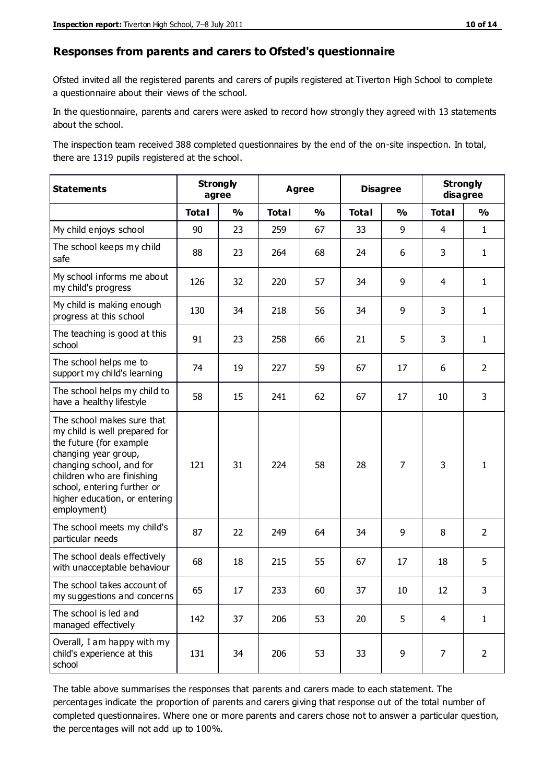#### **Responses from parents and carers to Ofsted's questionnaire**

Ofsted invited all the registered parents and carers of pupils registered at Tiverton High School to complete a questionnaire about their views of the school.

In the questionnaire, parents and carers were asked to record how strongly they agreed with 13 statements about the school.

The inspection team received 388 completed questionnaires by the end of the on-site inspection. In total, there are 1319 pupils registered at the school.

| <b>Statements</b>                                                                                                                                                                                                                                       | <b>Strongly</b><br>agree |               | <b>Agree</b> |               |              | <b>Disagree</b> |                | <b>Strongly</b><br>disagree |  |
|---------------------------------------------------------------------------------------------------------------------------------------------------------------------------------------------------------------------------------------------------------|--------------------------|---------------|--------------|---------------|--------------|-----------------|----------------|-----------------------------|--|
|                                                                                                                                                                                                                                                         | <b>Total</b>             | $\frac{1}{2}$ | <b>Total</b> | $\frac{0}{0}$ | <b>Total</b> | $\frac{1}{2}$   | <b>Total</b>   | $\frac{0}{0}$               |  |
| My child enjoys school                                                                                                                                                                                                                                  | 90                       | 23            | 259          | 67            | 33           | 9               | $\overline{4}$ | $\mathbf{1}$                |  |
| The school keeps my child<br>safe                                                                                                                                                                                                                       | 88                       | 23            | 264          | 68            | 24           | 6               | 3              | $\mathbf{1}$                |  |
| My school informs me about<br>my child's progress                                                                                                                                                                                                       | 126                      | 32            | 220          | 57            | 34           | 9               | 4              | $\mathbf{1}$                |  |
| My child is making enough<br>progress at this school                                                                                                                                                                                                    | 130                      | 34            | 218          | 56            | 34           | 9               | 3              | $\mathbf{1}$                |  |
| The teaching is good at this<br>school                                                                                                                                                                                                                  | 91                       | 23            | 258          | 66            | 21           | 5               | 3              | $\mathbf{1}$                |  |
| The school helps me to<br>support my child's learning                                                                                                                                                                                                   | 74                       | 19            | 227          | 59            | 67           | 17              | 6              | $\overline{2}$              |  |
| The school helps my child to<br>have a healthy lifestyle                                                                                                                                                                                                | 58                       | 15            | 241          | 62            | 67           | 17              | 10             | $\overline{3}$              |  |
| The school makes sure that<br>my child is well prepared for<br>the future (for example<br>changing year group,<br>changing school, and for<br>children who are finishing<br>school, entering further or<br>higher education, or entering<br>employment) | 121                      | 31            | 224          | 58            | 28           | 7               | 3              | $\mathbf{1}$                |  |
| The school meets my child's<br>particular needs                                                                                                                                                                                                         | 87                       | 22            | 249          | 64            | 34           | 9               | 8              | $\overline{2}$              |  |
| The school deals effectively<br>with unacceptable behaviour                                                                                                                                                                                             | 68                       | 18            | 215          | 55            | 67           | 17              | 18             | 5                           |  |
| The school takes account of<br>my suggestions and concerns                                                                                                                                                                                              | 65                       | 17            | 233          | 60            | 37           | $10\,$          | 12             | 3                           |  |
| The school is led and<br>managed effectively                                                                                                                                                                                                            | 142                      | 37            | 206          | 53            | 20           | 5               | $\overline{4}$ | $\mathbf{1}$                |  |
| Overall, I am happy with my<br>child's experience at this<br>school                                                                                                                                                                                     | 131                      | 34            | 206          | 53            | 33           | 9               | 7              | $\overline{2}$              |  |

The table above summarises the responses that parents and carers made to each statement. The percentages indicate the proportion of parents and carers giving that response out of the total number of completed questionnaires. Where one or more parents and carers chose not to answer a particular question, the percentages will not add up to 100%.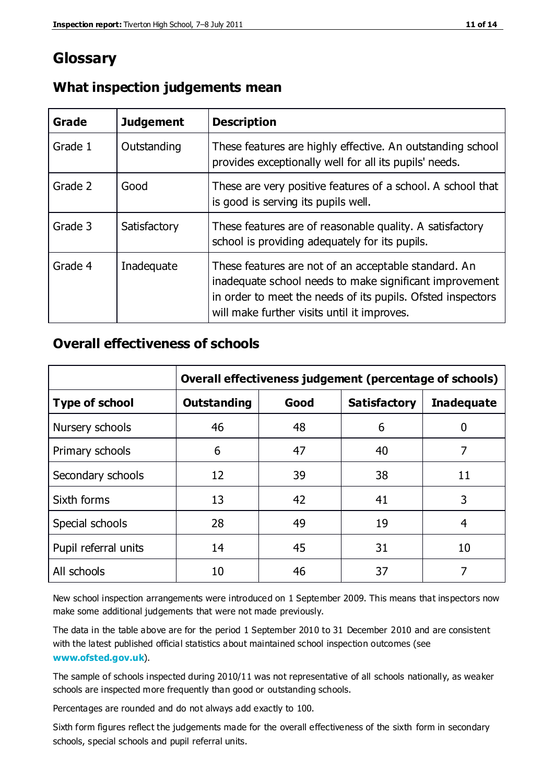# **Glossary**

| Grade   | <b>Judgement</b> | <b>Description</b>                                                                                                                                                                                                            |
|---------|------------------|-------------------------------------------------------------------------------------------------------------------------------------------------------------------------------------------------------------------------------|
| Grade 1 | Outstanding      | These features are highly effective. An outstanding school<br>provides exceptionally well for all its pupils' needs.                                                                                                          |
| Grade 2 | Good             | These are very positive features of a school. A school that<br>is good is serving its pupils well.                                                                                                                            |
| Grade 3 | Satisfactory     | These features are of reasonable quality. A satisfactory<br>school is providing adequately for its pupils.                                                                                                                    |
| Grade 4 | Inadequate       | These features are not of an acceptable standard. An<br>inadequate school needs to make significant improvement<br>in order to meet the needs of its pupils. Ofsted inspectors<br>will make further visits until it improves. |

#### **What inspection judgements mean**

#### **Overall effectiveness of schools**

|                       | Overall effectiveness judgement (percentage of schools) |      |                     |                   |
|-----------------------|---------------------------------------------------------|------|---------------------|-------------------|
| <b>Type of school</b> | <b>Outstanding</b>                                      | Good | <b>Satisfactory</b> | <b>Inadequate</b> |
| Nursery schools       | 46                                                      | 48   | 6                   |                   |
| Primary schools       | 6                                                       | 47   | 40                  | 7                 |
| Secondary schools     | 12                                                      | 39   | 38                  | 11                |
| Sixth forms           | 13                                                      | 42   | 41                  | 3                 |
| Special schools       | 28                                                      | 49   | 19                  | 4                 |
| Pupil referral units  | 14                                                      | 45   | 31                  | 10                |
| All schools           | 10                                                      | 46   | 37                  |                   |

New school inspection arrangements were introduced on 1 September 2009. This means that inspectors now make some additional judgements that were not made previously.

The data in the table above are for the period 1 September 2010 to 31 December 2010 and are consistent with the latest published official statistics about maintained school inspection outcomes (see **[www.ofsted.gov.uk](http://www.ofsted.gov.uk/)**).

The sample of schools inspected during 2010/11 was not representative of all schools nationally, as weaker schools are inspected more frequently than good or outstanding schools.

Percentages are rounded and do not always add exactly to 100.

Sixth form figures reflect the judgements made for the overall effectiveness of the sixth form in secondary schools, special schools and pupil referral units.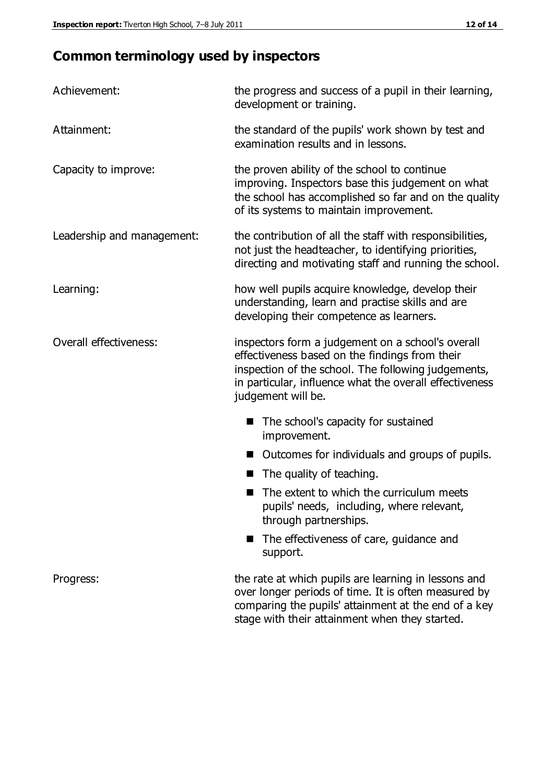# **Common terminology used by inspectors**

| Achievement:               | the progress and success of a pupil in their learning,<br>development or training.                                                                                                                                                          |  |  |
|----------------------------|---------------------------------------------------------------------------------------------------------------------------------------------------------------------------------------------------------------------------------------------|--|--|
| Attainment:                | the standard of the pupils' work shown by test and<br>examination results and in lessons.                                                                                                                                                   |  |  |
| Capacity to improve:       | the proven ability of the school to continue<br>improving. Inspectors base this judgement on what<br>the school has accomplished so far and on the quality<br>of its systems to maintain improvement.                                       |  |  |
| Leadership and management: | the contribution of all the staff with responsibilities,<br>not just the headteacher, to identifying priorities,<br>directing and motivating staff and running the school.                                                                  |  |  |
| Learning:                  | how well pupils acquire knowledge, develop their<br>understanding, learn and practise skills and are<br>developing their competence as learners.                                                                                            |  |  |
| Overall effectiveness:     | inspectors form a judgement on a school's overall<br>effectiveness based on the findings from their<br>inspection of the school. The following judgements,<br>in particular, influence what the overall effectiveness<br>judgement will be. |  |  |
|                            | The school's capacity for sustained<br>improvement.                                                                                                                                                                                         |  |  |
|                            | Outcomes for individuals and groups of pupils.                                                                                                                                                                                              |  |  |
|                            | The quality of teaching.                                                                                                                                                                                                                    |  |  |
|                            | The extent to which the curriculum meets<br>pupils' needs, including, where relevant,<br>through partnerships.                                                                                                                              |  |  |
|                            | The effectiveness of care, guidance and<br>support.                                                                                                                                                                                         |  |  |
| Progress:                  | the rate at which pupils are learning in lessons and<br>over longer periods of time. It is often measured by<br>comparing the pupils' attainment at the end of a key                                                                        |  |  |

stage with their attainment when they started.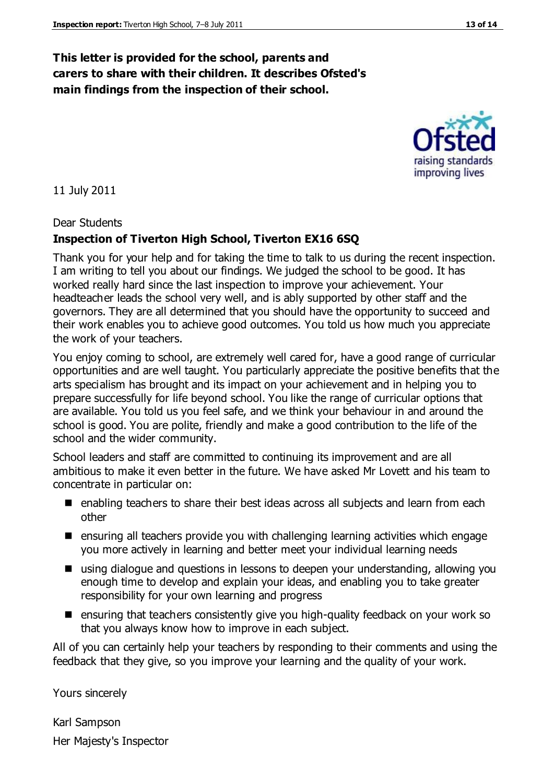#### **This letter is provided for the school, parents and carers to share with their children. It describes Ofsted's main findings from the inspection of their school.**

11 July 2011

#### Dear Students

#### **Inspection of Tiverton High School, Tiverton EX16 6SQ**

Thank you for your help and for taking the time to talk to us during the recent inspection. I am writing to tell you about our findings. We judged the school to be good. It has worked really hard since the last inspection to improve your achievement. Your headteacher leads the school very well, and is ably supported by other staff and the governors. They are all determined that you should have the opportunity to succeed and their work enables you to achieve good outcomes. You told us how much you appreciate the work of your teachers.

You enjoy coming to school, are extremely well cared for, have a good range of curricular opportunities and are well taught. You particularly appreciate the positive benefits that the arts specialism has brought and its impact on your achievement and in helping you to prepare successfully for life beyond school. You like the range of curricular options that are available. You told us you feel safe, and we think your behaviour in and around the school is good. You are polite, friendly and make a good contribution to the life of the school and the wider community.

School leaders and staff are committed to continuing its improvement and are all ambitious to make it even better in the future. We have asked Mr Lovett and his team to concentrate in particular on:

- enabling teachers to share their best ideas across all subjects and learn from each other
- $\blacksquare$  ensuring all teachers provide you with challenging learning activities which engage you more actively in learning and better meet your individual learning needs
- using dialogue and questions in lessons to deepen your understanding, allowing you enough time to develop and explain your ideas, and enabling you to take greater responsibility for your own learning and progress
- **E** ensuring that teachers consistently give you high-quality feedback on your work so that you always know how to improve in each subject.

All of you can certainly help your teachers by responding to their comments and using the feedback that they give, so you improve your learning and the quality of your work.

Yours sincerely

Karl Sampson Her Majesty's Inspector